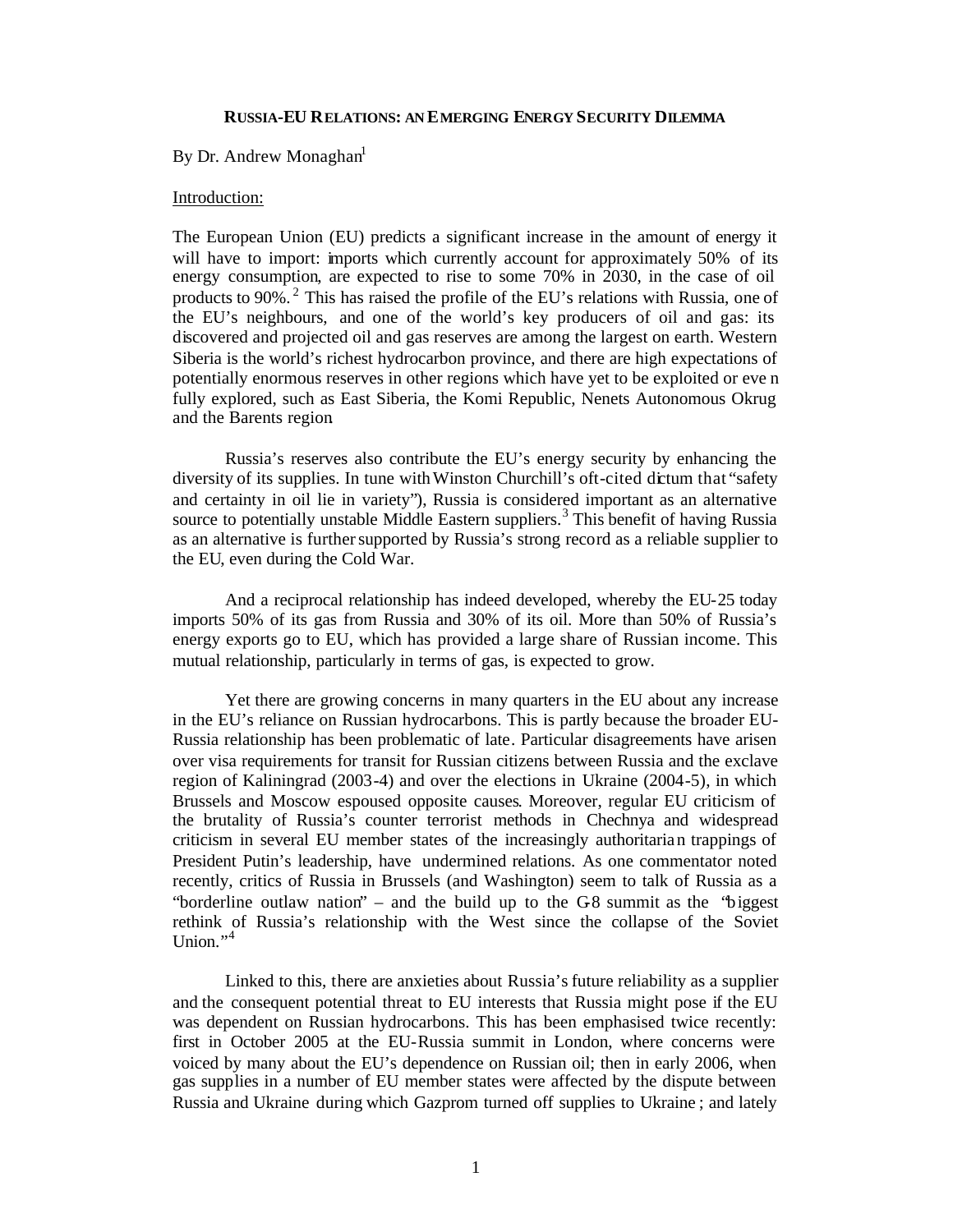#### **RUSSIA-EU RELATIONS: AN EMERGING ENERGY SECURITY DILEMMA**

# By Dr. Andrew Monaghan<sup>1</sup>

### Introduction:

The European Union (EU) predicts a significant increase in the amount of energy it will have to import: imports which currently account for approximately 50% of its energy consumption, are expected to rise to some 70% in 2030, in the case of oil products to 90%.<sup>2</sup> This has raised the profile of the EU's relations with Russia, one of the EU's neighbours, and one of the world's key producers of oil and gas: its discovered and projected oil and gas reserves are among the largest on earth. Western Siberia is the world's richest hydrocarbon province, and there are high expectations of potentially enormous reserves in other regions which have yet to be exploited or eve n fully explored, such as East Siberia, the Komi Republic, Nenets Autonomous Okrug and the Barents region.

Russia's reserves also contribute the EU's energy security by enhancing the diversity of its supplies. In tune with Winston Churchill's oft-cited dictum that "safety and certainty in oil lie in variety"), Russia is considered important as an alternative source to potentially unstable Middle Eastern suppliers.<sup>3</sup> This benefit of having Russia as an alternative is further supported by Russia's strong record as a reliable supplier to the EU, even during the Cold War.

And a reciprocal relationship has indeed developed, whereby the EU-25 today imports 50% of its gas from Russia and 30% of its oil. More than 50% of Russia's energy exports go to EU, which has provided a large share of Russian income. This mutual relationship, particularly in terms of gas, is expected to grow.

Yet there are growing concerns in many quarters in the EU about any increase in the EU's reliance on Russian hydrocarbons. This is partly because the broader EU-Russia relationship has been problematic of late. Particular disagreements have arisen over visa requirements for transit for Russian citizens between Russia and the exclave region of Kaliningrad (2003-4) and over the elections in Ukraine (2004-5), in which Brussels and Moscow espoused opposite causes. Moreover, regular EU criticism of the brutality of Russia's counter terrorist methods in Chechnya and widespread criticism in several EU member states of the increasingly authoritarian trappings of President Putin's leadership, have undermined relations. As one commentator noted recently, critics of Russia in Brussels (and Washington) seem to talk of Russia as a "borderline outlaw nation" – and the build up to the  $G8$  summit as the "biggest" rethink of Russia's relationship with the West since the collapse of the Soviet Union."<sup>4</sup>

Linked to this, there are anxieties about Russia's future reliability as a supplier and the consequent potential threat to EU interests that Russia might pose if the EU was dependent on Russian hydrocarbons. This has been emphasised twice recently: first in October 2005 at the EU-Russia summit in London, where concerns were voiced by many about the EU's dependence on Russian oil; then in early 2006, when gas supplies in a number of EU member states were affected by the dispute between Russia and Ukraine during which Gazprom turned off supplies to Ukraine ; and lately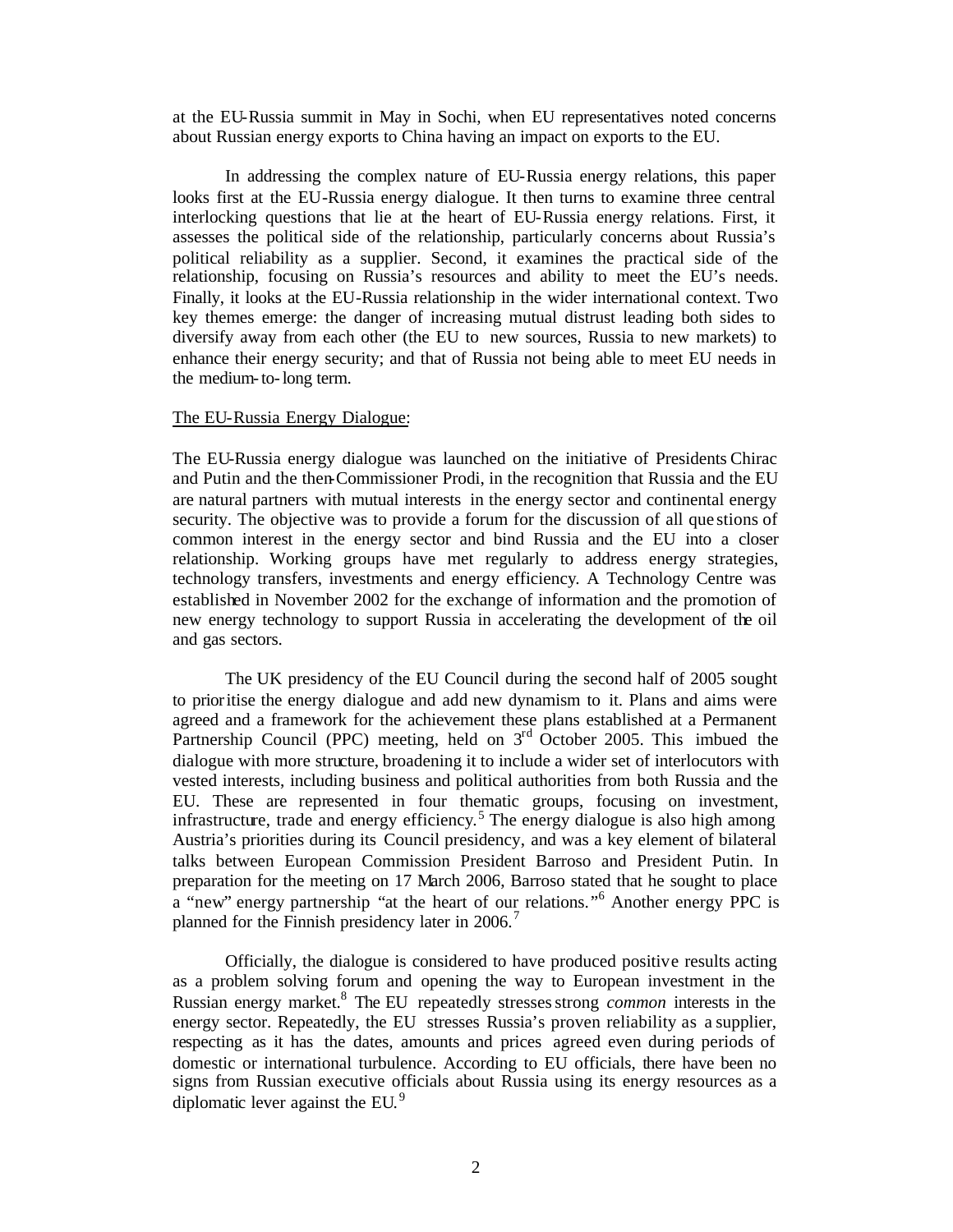at the EU-Russia summit in May in Sochi, when EU representatives noted concerns about Russian energy exports to China having an impact on exports to the EU.

In addressing the complex nature of EU-Russia energy relations, this paper looks first at the EU-Russia energy dialogue. It then turns to examine three central interlocking questions that lie at the heart of EU-Russia energy relations. First, it assesses the political side of the relationship, particularly concerns about Russia's political reliability as a supplier. Second, it examines the practical side of the relationship, focusing on Russia's resources and ability to meet the EU's needs. Finally, it looks at the EU-Russia relationship in the wider international context. Two key themes emerge: the danger of increasing mutual distrust leading both sides to diversify away from each other (the EU to new sources, Russia to new markets) to enhance their energy security; and that of Russia not being able to meet EU needs in the medium-to-long term.

#### The EU-Russia Energy Dialogue:

The EU-Russia energy dialogue was launched on the initiative of Presidents Chirac and Putin and the then-Commissioner Prodi, in the recognition that Russia and the EU are natural partners with mutual interests in the energy sector and continental energy security. The objective was to provide a forum for the discussion of all que stions of common interest in the energy sector and bind Russia and the EU into a closer relationship. Working groups have met regularly to address energy strategies, technology transfers, investments and energy efficiency. A Technology Centre was established in November 2002 for the exchange of information and the promotion of new energy technology to support Russia in accelerating the development of the oil and gas sectors.

The UK presidency of the EU Council during the second half of 2005 sought to prioritise the energy dialogue and add new dynamism to it. Plans and aims were agreed and a framework for the achievement these plans established at a Permanent Partnership Council (PPC) meeting, held on  $3<sup>rd</sup>$  October 2005. This imbued the dialogue with more structure, broadening it to include a wider set of interlocutors with vested interests, including business and political authorities from both Russia and the EU. These are represented in four thematic groups, focusing on investment, infrastructure, trade and energy efficiency.<sup>5</sup> The energy dialogue is also high among Austria's priorities during its Council presidency, and was a key element of bilateral talks between European Commission President Barroso and President Putin. In preparation for the meeting on 17 March 2006, Barroso stated that he sought to place a "new" energy partnership "at the heart of our relations."<sup>6</sup> Another energy PPC is planned for the Finnish presidency later in 2006.<sup>7</sup>

Officially, the dialogue is considered to have produced positive results acting as a problem solving forum and opening the way to European investment in the Russian energy market.<sup>8</sup> The EU repeatedly stresses strong *common* interests in the energy sector. Repeatedly, the EU stresses Russia's proven reliability as a supplier, respecting as it has the dates, amounts and prices agreed even during periods of domestic or international turbulence. According to EU officials, there have been no signs from Russian executive officials about Russia using its energy resources as a diplomatic lever against the EU.<sup>9</sup>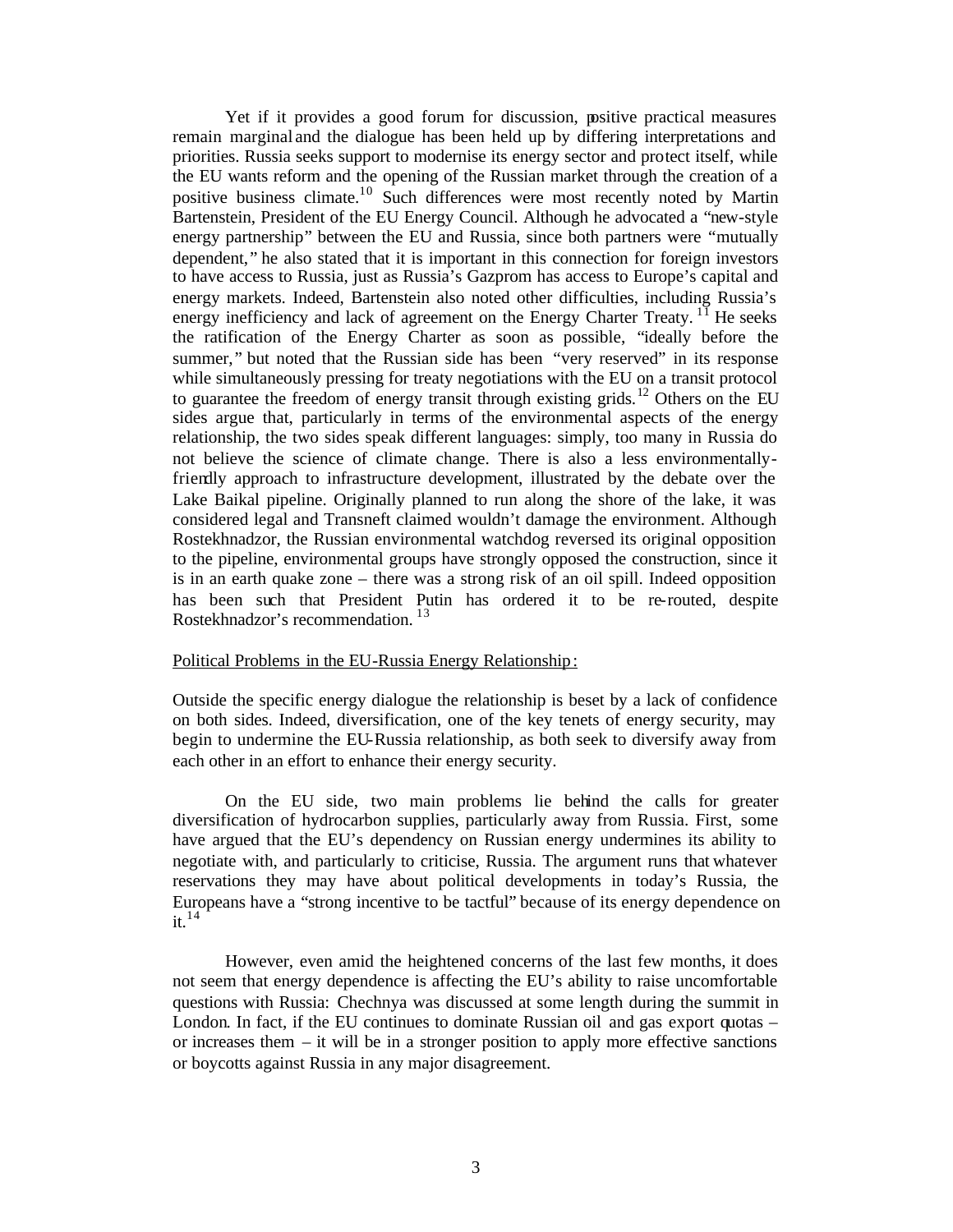Yet if it provides a good forum for discussion, positive practical measures remain marginal and the dialogue has been held up by differing interpretations and priorities. Russia seeks support to modernise its energy sector and protect itself, while the EU wants reform and the opening of the Russian market through the creation of a positive business climate.<sup>10</sup> Such differences were most recently noted by Martin Bartenstein, President of the EU Energy Council. Although he advocated a "new-style energy partnership" between the EU and Russia, since both partners were "mutually dependent," he also stated that it is important in this connection for foreign investors to have access to Russia, just as Russia's Gazprom has access to Europe's capital and energy markets. Indeed, Bartenstein also noted other difficulties, including Russia's energy inefficiency and lack of agreement on the Energy Charter Treaty.  $^{11}$  He seeks the ratification of the Energy Charter as soon as possible, "ideally before the summer," but noted that the Russian side has been "very reserved" in its response while simultaneously pressing for treaty negotiations with the EU on a transit protocol to guarantee the freedom of energy transit through existing grids.<sup>12</sup> Others on the EU sides argue that, particularly in terms of the environmental aspects of the energy relationship, the two sides speak different languages: simply, too many in Russia do not believe the science of climate change. There is also a less environmentallyfriendly approach to infrastructure development, illustrated by the debate over the Lake Baikal pipeline. Originally planned to run along the shore of the lake, it was considered legal and Transneft claimed wouldn't damage the environment. Although Rostekhnadzor, the Russian environmental watchdog reversed its original opposition to the pipeline, environmental groups have strongly opposed the construction, since it is in an earth quake zone – there was a strong risk of an oil spill. Indeed opposition has been such that President Putin has ordered it to be re-routed, despite Rostekhnadzor's recommendation.<sup>13</sup>

# Political Problems in the EU-Russia Energy Relationship :

Outside the specific energy dialogue the relationship is beset by a lack of confidence on both sides. Indeed, diversification, one of the key tenets of energy security, may begin to undermine the EU-Russia relationship, as both seek to diversify away from each other in an effort to enhance their energy security.

On the EU side, two main problems lie behind the calls for greater diversification of hydrocarbon supplies, particularly away from Russia. First, some have argued that the EU's dependency on Russian energy undermines its ability to negotiate with, and particularly to criticise, Russia. The argument runs that whatever reservations they may have about political developments in today's Russia, the Europeans have a "strong incentive to be tactful" because of its energy dependence on it. 14

However, even amid the heightened concerns of the last few months, it does not seem that energy dependence is affecting the EU's ability to raise uncomfortable questions with Russia: Chechnya was discussed at some length during the summit in London. In fact, if the EU continues to dominate Russian oil and gas export quotas – or increases them – it will be in a stronger position to apply more effective sanctions or boycotts against Russia in any major disagreement.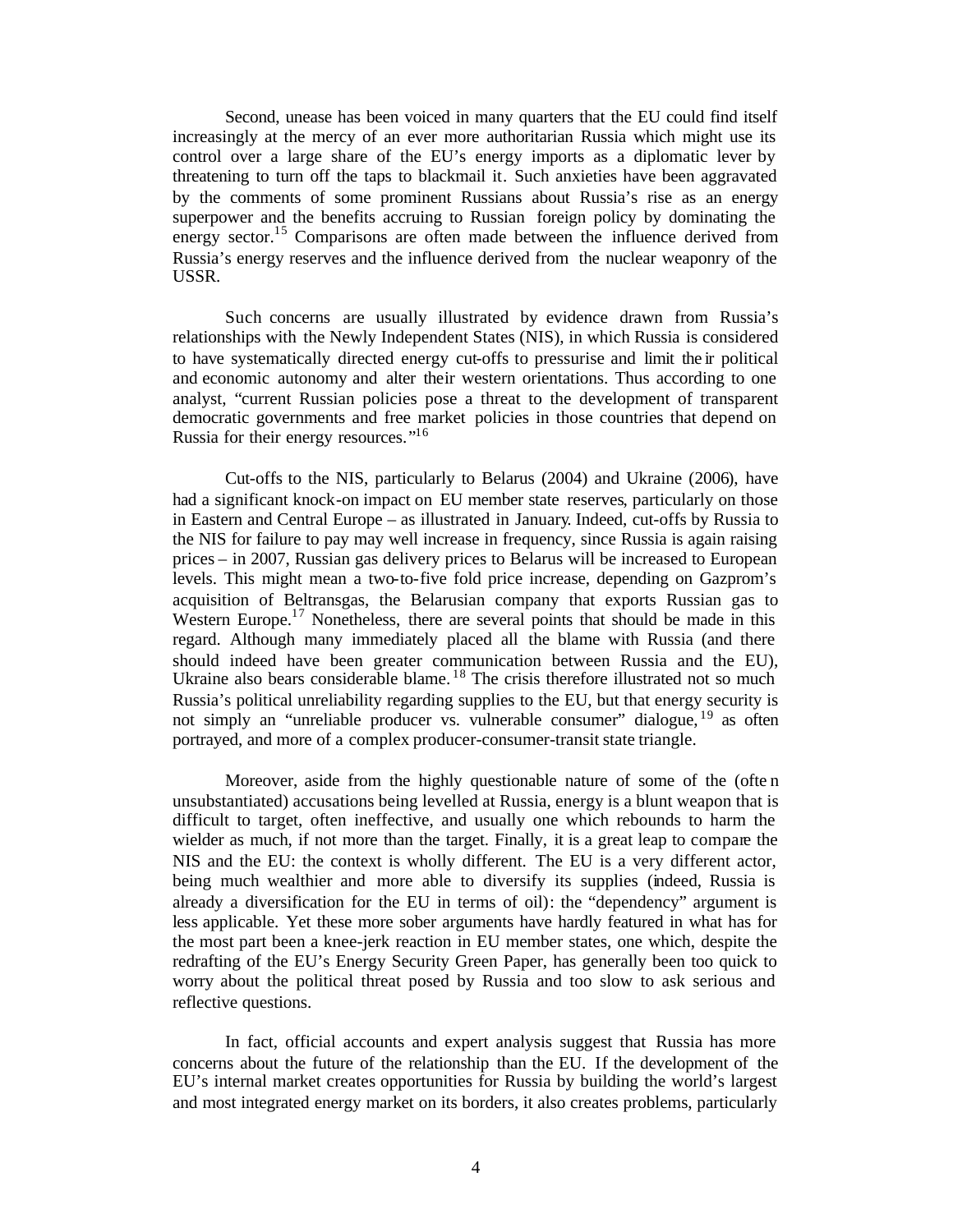Second, unease has been voiced in many quarters that the EU could find itself increasingly at the mercy of an ever more authoritarian Russia which might use its control over a large share of the EU's energy imports as a diplomatic lever by threatening to turn off the taps to blackmail it. Such anxieties have been aggravated by the comments of some prominent Russians about Russia's rise as an energy superpower and the benefits accruing to Russian foreign policy by dominating the energy sector.<sup>15</sup> Comparisons are often made between the influence derived from Russia's energy reserves and the influence derived from the nuclear weaponry of the USSR.

Such concerns are usually illustrated by evidence drawn from Russia's relationships with the Newly Independent States (NIS), in which Russia is considered to have systematically directed energy cut-offs to pressurise and limit the ir political and economic autonomy and alter their western orientations. Thus according to one analyst, "current Russian policies pose a threat to the development of transparent democratic governments and free market policies in those countries that depend on Russia for their energy resources."<sup>16</sup>

Cut-offs to the NIS, particularly to Belarus (2004) and Ukraine (2006), have had a significant knock-on impact on EU member state reserves, particularly on those in Eastern and Central Europe – as illustrated in January. Indeed, cut-offs by Russia to the NIS for failure to pay may well increase in frequency, since Russia is again raising prices – in 2007, Russian gas delivery prices to Belarus will be increased to European levels. This might mean a two-to-five fold price increase, depending on Gazprom's acquisition of Beltransgas, the Belarusian company that exports Russian gas to Western Europe.<sup>17</sup> Nonetheless, there are several points that should be made in this regard. Although many immediately placed all the blame with Russia (and there should indeed have been greater communication between Russia and the EU), Ukraine also bears considerable blame.<sup>18</sup> The crisis therefore illustrated not so much Russia's political unreliability regarding supplies to the EU, but that energy security is not simply an "unreliable producer vs. vulnerable consumer" dialogue, <sup>19</sup> as often portrayed, and more of a complex producer-consumer-transit state triangle.

Moreover, aside from the highly questionable nature of some of the (ofte n unsubstantiated) accusations being levelled at Russia, energy is a blunt weapon that is difficult to target, often ineffective, and usually one which rebounds to harm the wielder as much, if not more than the target. Finally, it is a great leap to compare the NIS and the EU: the context is wholly different. The EU is a very different actor, being much wealthier and more able to diversify its supplies (indeed, Russia is already a diversification for the EU in terms of oil): the "dependency" argument is less applicable. Yet these more sober arguments have hardly featured in what has for the most part been a knee-jerk reaction in EU member states, one which, despite the redrafting of the EU's Energy Security Green Paper, has generally been too quick to worry about the political threat posed by Russia and too slow to ask serious and reflective questions.

In fact, official accounts and expert analysis suggest that Russia has more concerns about the future of the relationship than the EU. If the development of the EU's internal market creates opportunities for Russia by building the world's largest and most integrated energy market on its borders, it also creates problems, particularly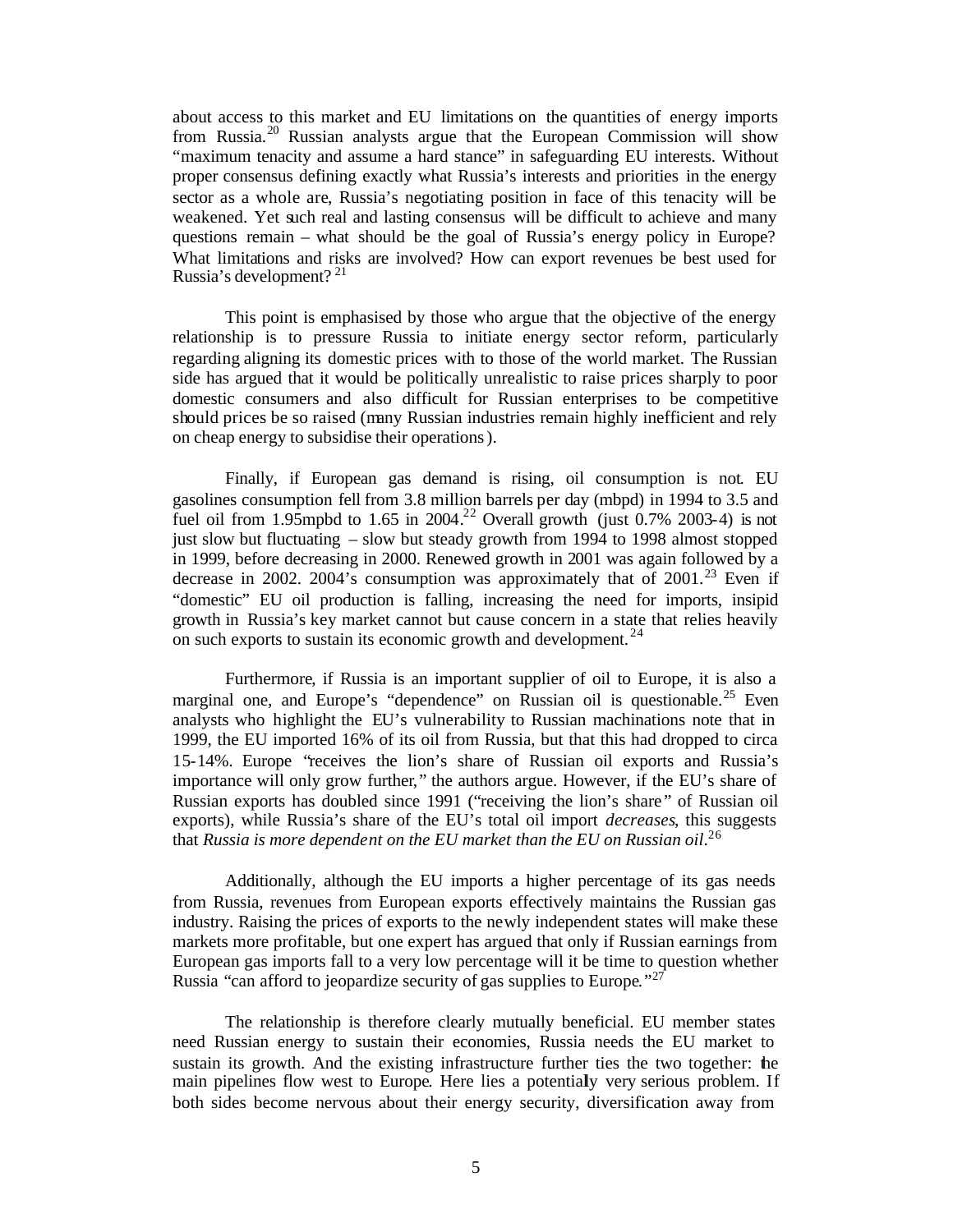about access to this market and EU limitations on the quantities of energy imports from Russia.<sup>20</sup> Russian analysts argue that the European Commission will show "maximum tenacity and assume a hard stance" in safeguarding EU interests. Without proper consensus defining exactly what Russia's interests and priorities in the energy sector as a whole are, Russia's negotiating position in face of this tenacity will be weakened. Yet such real and lasting consensus will be difficult to achieve and many questions remain – what should be the goal of Russia's energy policy in Europe? What limitations and risks are involved? How can export revenues be best used for Russia's development? <sup>21</sup>

This point is emphasised by those who argue that the objective of the energy relationship is to pressure Russia to initiate energy sector reform, particularly regarding aligning its domestic prices with to those of the world market. The Russian side has argued that it would be politically unrealistic to raise prices sharply to poor domestic consumers and also difficult for Russian enterprises to be competitive should prices be so raised (many Russian industries remain highly inefficient and rely on cheap energy to subsidise their operations).

Finally, if European gas demand is rising, oil consumption is not. EU gasolines consumption fell from 3.8 million barrels per day (mbpd) in 1994 to 3.5 and fuel oil from 1.95mpbd to 1.65 in 2004.<sup>22</sup> Overall growth (just 0.7% 2003-4) is not just slow but fluctuating – slow but steady growth from 1994 to 1998 almost stopped in 1999, before decreasing in 2000. Renewed growth in 2001 was again followed by a decrease in 2002. 2004's consumption was approximately that of  $2001<sup>23</sup>$  Even if "domestic" EU oil production is falling, increasing the need for imports, insipid growth in Russia's key market cannot but cause concern in a state that relies heavily on such exports to sustain its economic growth and development.  $24$ 

Furthermore, if Russia is an important supplier of oil to Europe, it is also a marginal one, and Europe's "dependence" on Russian oil is questionable.<sup>25</sup> Even analysts who highlight the EU's vulnerability to Russian machinations note that in 1999, the EU imported 16% of its oil from Russia, but that this had dropped to circa 15-14%. Europe "receives the lion's share of Russian oil exports and Russia's importance will only grow further," the authors argue. However, if the EU's share of Russian exports has doubled since 1991 ("receiving the lion's share " of Russian oil exports), while Russia's share of the EU's total oil import *decreases*, this suggests that *Russia is more dependent on the EU market than the EU on Russian oil*. 26

Additionally, although the EU imports a higher percentage of its gas needs from Russia, revenues from European exports effectively maintains the Russian gas industry. Raising the prices of exports to the newly independent states will make these markets more profitable, but one expert has argued that only if Russian earnings from European gas imports fall to a very low percentage will it be time to question whether Russia "can afford to jeopardize security of gas supplies to Europe."<sup>27</sup>

The relationship is therefore clearly mutually beneficial. EU member states need Russian energy to sustain their economies, Russia needs the EU market to sustain its growth. And the existing infrastructure further ties the two together: the main pipelines flow west to Europe. Here lies a potentially very serious problem. If both sides become nervous about their energy security, diversification away from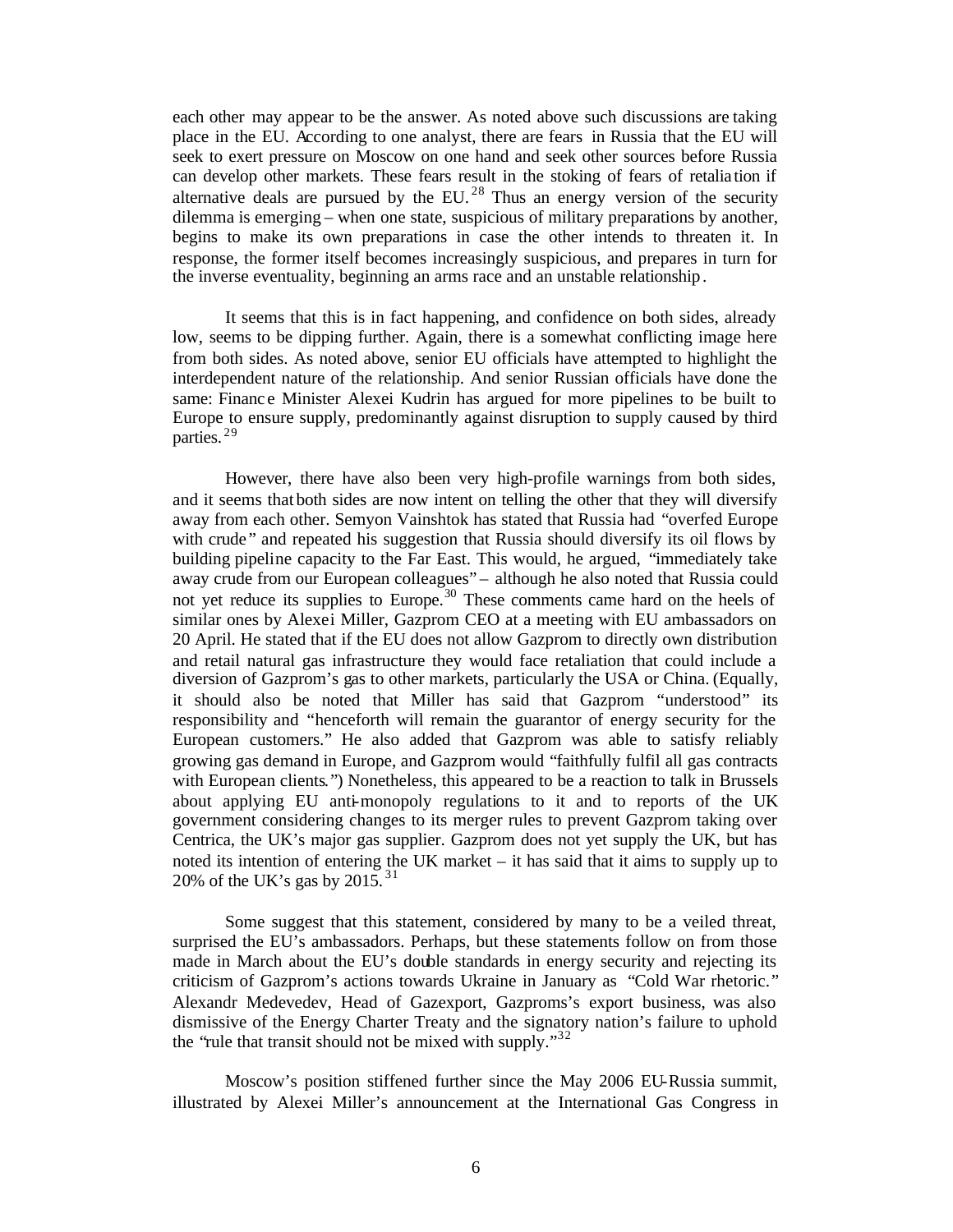each other may appear to be the answer. As noted above such discussions are taking place in the EU. According to one analyst, there are fears in Russia that the EU will seek to exert pressure on Moscow on one hand and seek other sources before Russia can develop other markets. These fears result in the stoking of fears of retalia tion if alternative deals are pursued by the EU.<sup>28</sup> Thus an energy version of the security dilemma is emerging – when one state, suspicious of military preparations by another, begins to make its own preparations in case the other intends to threaten it. In response, the former itself becomes increasingly suspicious, and prepares in turn for the inverse eventuality, beginning an arms race and an unstable relationship.

It seems that this is in fact happening, and confidence on both sides, already low, seems to be dipping further. Again, there is a somewhat conflicting image here from both sides. As noted above, senior EU officials have attempted to highlight the interdependent nature of the relationship. And senior Russian officials have done the same: Finance Minister Alexei Kudrin has argued for more pipelines to be built to Europe to ensure supply, predominantly against disruption to supply caused by third parties. <sup>29</sup>

However, there have also been very high-profile warnings from both sides, and it seems that both sides are now intent on telling the other that they will diversify away from each other. Semyon Vainshtok has stated that Russia had "overfed Europe with crude" and repeated his suggestion that Russia should diversify its oil flows by building pipeline capacity to the Far East. This would, he argued, "immediately take away crude from our European colleagues" – although he also noted that Russia could not yet reduce its supplies to Europe.<sup>30</sup> These comments came hard on the heels of similar ones by Alexei Miller, Gazprom CEO at a meeting with EU ambassadors on 20 April. He stated that if the EU does not allow Gazprom to directly own distribution and retail natural gas infrastructure they would face retaliation that could include a diversion of Gazprom's gas to other markets, particularly the USA or China. (Equally, it should also be noted that Miller has said that Gazprom "understood" its responsibility and "henceforth will remain the guarantor of energy security for the European customers." He also added that Gazprom was able to satisfy reliably growing gas demand in Europe, and Gazprom would "faithfully fulfil all gas contracts with European clients.") Nonetheless, this appeared to be a reaction to talk in Brussels about applying EU anti-monopoly regulations to it and to reports of the UK government considering changes to its merger rules to prevent Gazprom taking over Centrica, the UK's major gas supplier. Gazprom does not yet supply the UK, but has noted its intention of entering the UK market – it has said that it aims to supply up to 20% of the UK's gas by 2015.<sup>31</sup>

Some suggest that this statement, considered by many to be a veiled threat, surprised the EU's ambassadors. Perhaps, but these statements follow on from those made in March about the EU's double standards in energy security and rejecting its criticism of Gazprom's actions towards Ukraine in January as "Cold War rhetoric." Alexandr Medevedev, Head of Gazexport, Gazproms's export business, was also dismissive of the Energy Charter Treaty and the signatory nation's failure to uphold the "rule that transit should not be mixed with supply." $32$ 

Moscow's position stiffened further since the May 2006 EU-Russia summit, illustrated by Alexei Miller's announcement at the International Gas Congress in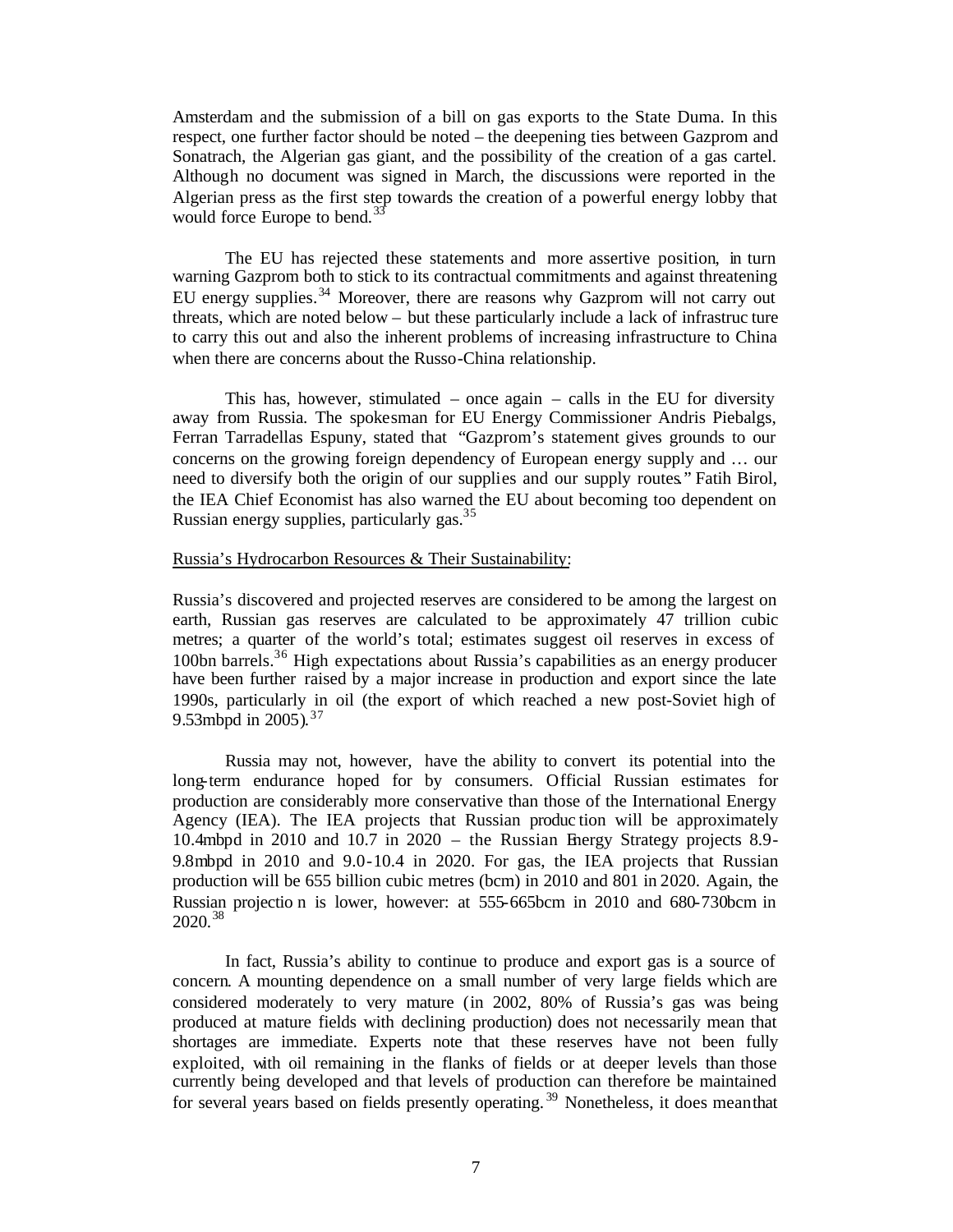Amsterdam and the submission of a bill on gas exports to the State Duma. In this respect, one further factor should be noted – the deepening ties between Gazprom and Sonatrach, the Algerian gas giant, and the possibility of the creation of a gas cartel. Although no document was signed in March, the discussions were reported in the Algerian press as the first step towards the creation of a powerful energy lobby that would force Europe to bend.<sup>3</sup>

The EU has rejected these statements and more assertive position, in turn warning Gazprom both to stick to its contractual commitments and against threatening EU energy supplies.<sup>34</sup> Moreover, there are reasons why Gazprom will not carry out threats, which are noted below – but these particularly include a lack of infrastruc ture to carry this out and also the inherent problems of increasing infrastructure to China when there are concerns about the Russo-China relationship.

This has, however, stimulated – once again – calls in the EU for diversity away from Russia. The spokesman for EU Energy Commissioner Andris Piebalgs, Ferran Tarradellas Espuny, stated that "Gazprom's statement gives grounds to our concerns on the growing foreign dependency of European energy supply and … our need to diversify both the origin of our supplies and our supply routes." Fatih Birol, the IEA Chief Economist has also warned the EU about becoming too dependent on Russian energy supplies, particularly gas.<sup>35</sup>

# Russia's Hydrocarbon Resources & Their Sustainability:

Russia's discovered and projected reserves are considered to be among the largest on earth, Russian gas reserves are calculated to be approximately 47 trillion cubic metres; a quarter of the world's total; estimates suggest oil reserves in excess of 100bn barrels.<sup>36</sup> High expectations about Russia's capabilities as an energy producer have been further raised by a major increase in production and export since the late 1990s, particularly in oil (the export of which reached a new post-Soviet high of 9.53mbpd in 2005).<sup>37</sup>

Russia may not, however, have the ability to convert its potential into the long-term endurance hoped for by consumers. Official Russian estimates for production are considerably more conservative than those of the International Energy Agency (IEA). The IEA projects that Russian produc tion will be approximately 10.4mbpd in 2010 and 10.7 in 2020 – the Russian Energy Strategy projects 8.9- 9.8mbpd in 2010 and 9.0-10.4 in 2020. For gas, the IEA projects that Russian production will be 655 billion cubic metres (bcm) in 2010 and 801 in 2020. Again, the Russian projectio n is lower, however: at 555-665bcm in 2010 and 680-730bcm in 2020.<sup>38</sup>

In fact, Russia's ability to continue to produce and export gas is a source of concern. A mounting dependence on a small number of very large fields which are considered moderately to very mature (in 2002, 80% of Russia's gas was being produced at mature fields with declining production) does not necessarily mean that shortages are immediate. Experts note that these reserves have not been fully exploited, with oil remaining in the flanks of fields or at deeper levels than those currently being developed and that levels of production can therefore be maintained for several years based on fields presently operating.<sup>39</sup> Nonetheless, it does mean that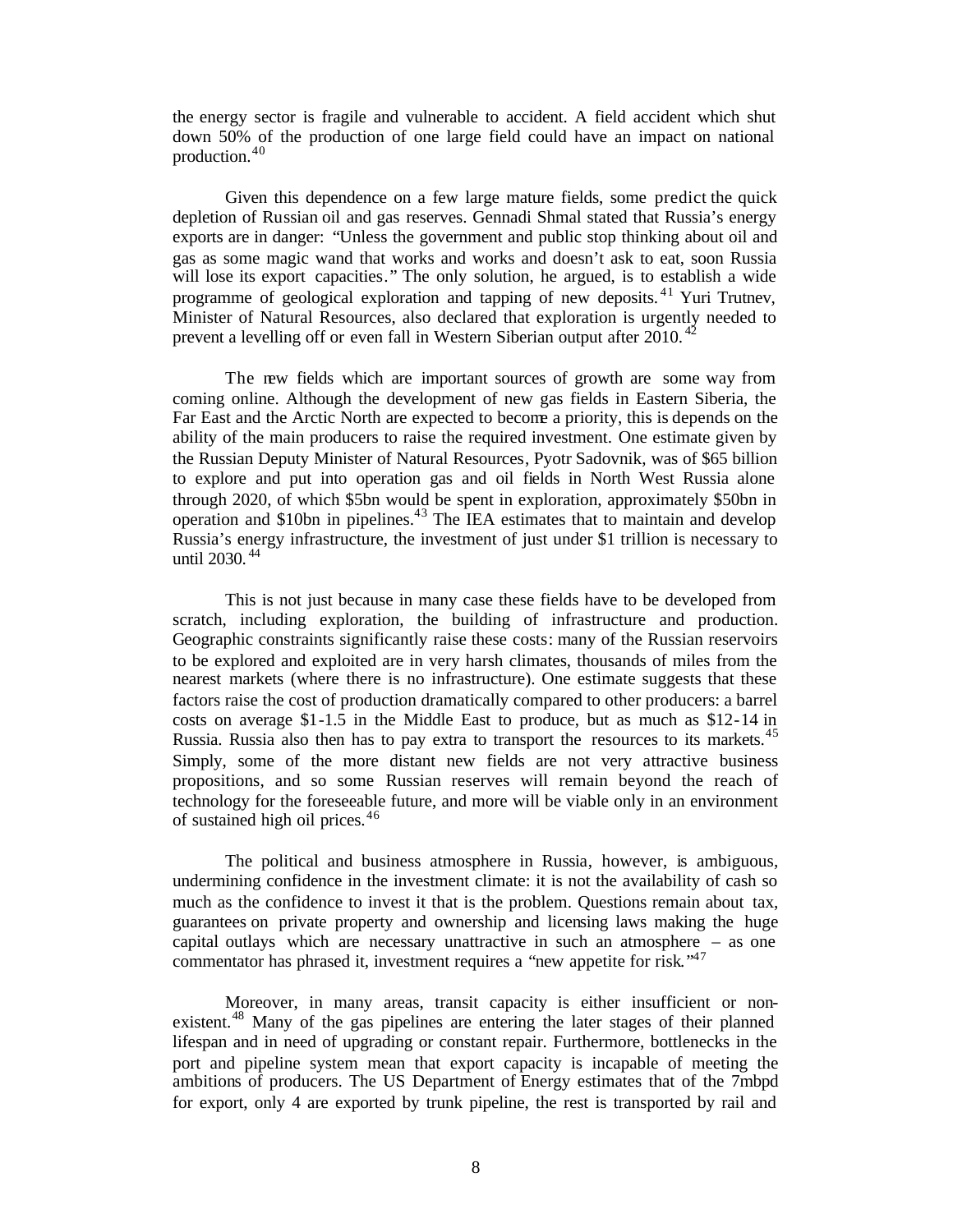the energy sector is fragile and vulnerable to accident. A field accident which shut down 50% of the production of one large field could have an impact on national production.<sup>40</sup>

Given this dependence on a few large mature fields, some predict the quick depletion of Russian oil and gas reserves. Gennadi Shmal stated that Russia's energy exports are in danger: "Unless the government and public stop thinking about oil and gas as some magic wand that works and works and doesn't ask to eat, soon Russia will lose its export capacities." The only solution, he argued, is to establish a wide programme of geological exploration and tapping of new deposits. <sup>41</sup> Yuri Trutnev, Minister of Natural Resources, also declared that exploration is urgently needed to prevent a levelling off or even fall in Western Siberian output after 2010.<sup>42</sup>

The new fields which are important sources of growth are some way from coming online. Although the development of new gas fields in Eastern Siberia, the Far East and the Arctic North are expected to become a priority, this is depends on the ability of the main producers to raise the required investment. One estimate given by the Russian Deputy Minister of Natural Resources, Pyotr Sadovnik, was of \$65 billion to explore and put into operation gas and oil fields in North West Russia alone through 2020, of which \$5bn would be spent in exploration, approximately \$50bn in operation and \$10bn in pipelines.<sup>43</sup> The IEA estimates that to maintain and develop Russia's energy infrastructure, the investment of just under \$1 trillion is necessary to until 2030. <sup>44</sup>

This is not just because in many case these fields have to be developed from scratch, including exploration, the building of infrastructure and production. Geographic constraints significantly raise these costs: many of the Russian reservoirs to be explored and exploited are in very harsh climates, thousands of miles from the nearest markets (where there is no infrastructure). One estimate suggests that these factors raise the cost of production dramatically compared to other producers: a barrel costs on average \$1-1.5 in the Middle East to produce, but as much as \$12-14 in Russia. Russia also then has to pay extra to transport the resources to its markets.<sup>45</sup> Simply, some of the more distant new fields are not very attractive business propositions, and so some Russian reserves will remain beyond the reach of technology for the foreseeable future, and more will be viable only in an environment of sustained high oil prices.<sup>46</sup>

The political and business atmosphere in Russia, however, is ambiguous, undermining confidence in the investment climate: it is not the availability of cash so much as the confidence to invest it that is the problem. Questions remain about tax, guarantees on private property and ownership and licensing laws making the huge capital outlays which are necessary unattractive in such an atmosphere – as one commentator has phrased it, investment requires a "new appetite for risk."<sup>47</sup>

Moreover, in many areas, transit capacity is either insufficient or nonexistent.<sup>48</sup> Many of the gas pipelines are entering the later stages of their planned lifespan and in need of upgrading or constant repair. Furthermore, bottlenecks in the port and pipeline system mean that export capacity is incapable of meeting the ambitions of producers. The US Department of Energy estimates that of the 7mbpd for export, only 4 are exported by trunk pipeline, the rest is transported by rail and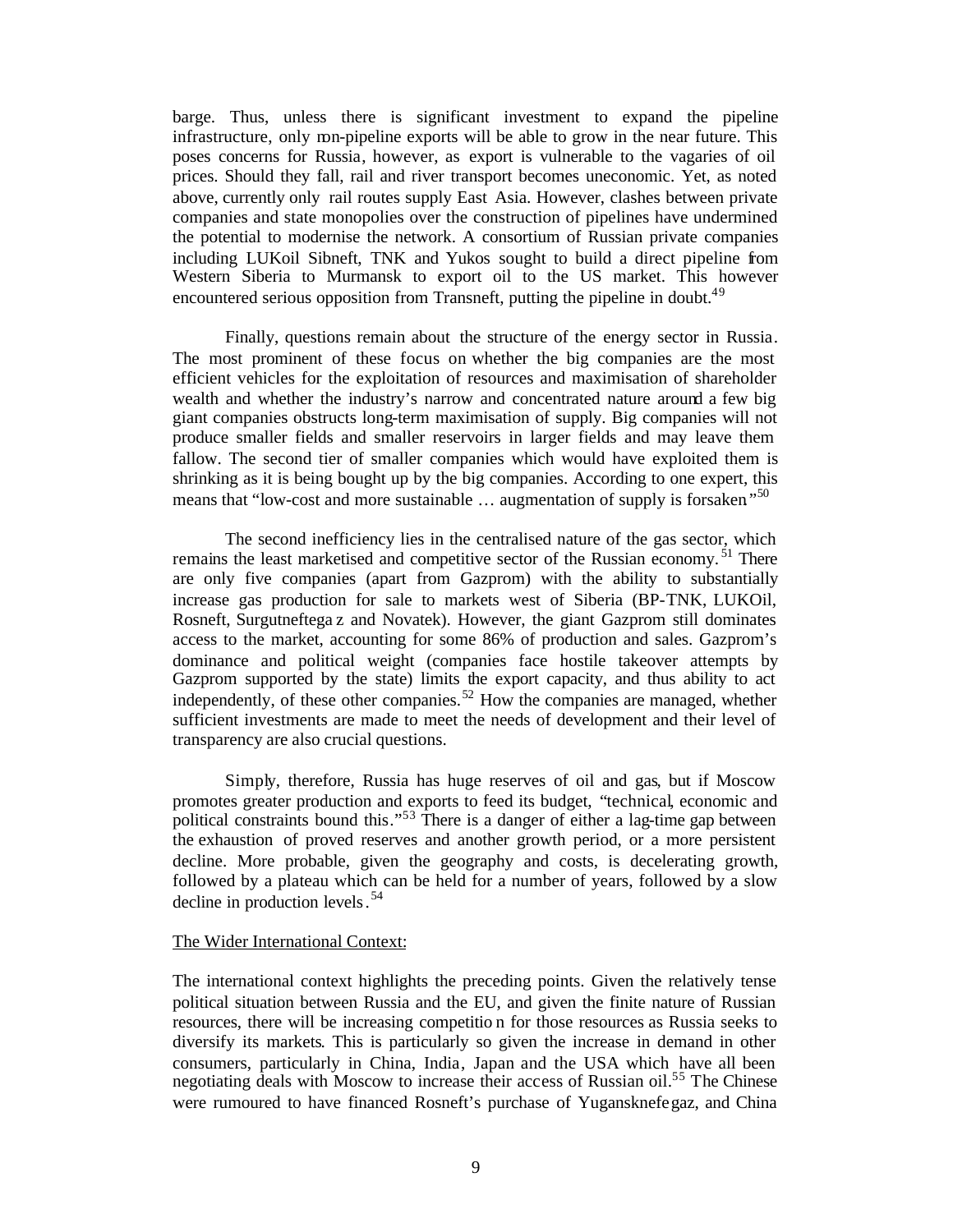barge. Thus, unless there is significant investment to expand the pipeline infrastructure, only non-pipeline exports will be able to grow in the near future. This poses concerns for Russia, however, as export is vulnerable to the vagaries of oil prices. Should they fall, rail and river transport becomes uneconomic. Yet, as noted above, currently only rail routes supply East Asia. However, clashes between private companies and state monopolies over the construction of pipelines have undermined the potential to modernise the network. A consortium of Russian private companies including LUKoil Sibneft, TNK and Yukos sought to build a direct pipeline from Western Siberia to Murmansk to export oil to the US market. This however encountered serious opposition from Transneft, putting the pipeline in doubt.<sup>49</sup>

Finally, questions remain about the structure of the energy sector in Russia. The most prominent of these focus on whether the big companies are the most efficient vehicles for the exploitation of resources and maximisation of shareholder wealth and whether the industry's narrow and concentrated nature around a few big giant companies obstructs long-term maximisation of supply. Big companies will not produce smaller fields and smaller reservoirs in larger fields and may leave them fallow. The second tier of smaller companies which would have exploited them is shrinking as it is being bought up by the big companies. According to one expert, this means that "low-cost and more sustainable  $\ldots$  augmentation of supply is forsaken."<sup>50</sup>

The second inefficiency lies in the centralised nature of the gas sector, which remains the least marketised and competitive sector of the Russian economy. <sup>51</sup> There are only five companies (apart from Gazprom) with the ability to substantially increase gas production for sale to markets west of Siberia (BP-TNK, LUKOil, Rosneft, Surgutneftega z and Novatek). However, the giant Gazprom still dominates access to the market, accounting for some 86% of production and sales. Gazprom's dominance and political weight (companies face hostile takeover attempts by Gazprom supported by the state) limits the export capacity, and thus ability to act independently, of these other companies.<sup>52</sup> How the companies are managed, whether sufficient investments are made to meet the needs of development and their level of transparency are also crucial questions.

Simply, therefore, Russia has huge reserves of oil and gas, but if Moscow promotes greater production and exports to feed its budget, "technical, economic and political constraints bound this."<sup>53</sup> There is a danger of either a lag-time gap between the exhaustion of proved reserves and another growth period, or a more persistent decline. More probable, given the geography and costs, is decelerating growth, followed by a plateau which can be held for a number of years, followed by a slow decline in production levels. 54

## The Wider International Context:

The international context highlights the preceding points. Given the relatively tense political situation between Russia and the EU, and given the finite nature of Russian resources, there will be increasing competitio n for those resources as Russia seeks to diversify its markets. This is particularly so given the increase in demand in other consumers, particularly in China, India, Japan and the USA which have all been negotiating deals with Moscow to increase their access of Russian oil.<sup>55</sup> The Chinese were rumoured to have financed Rosneft's purchase of Yugansknefegaz, and China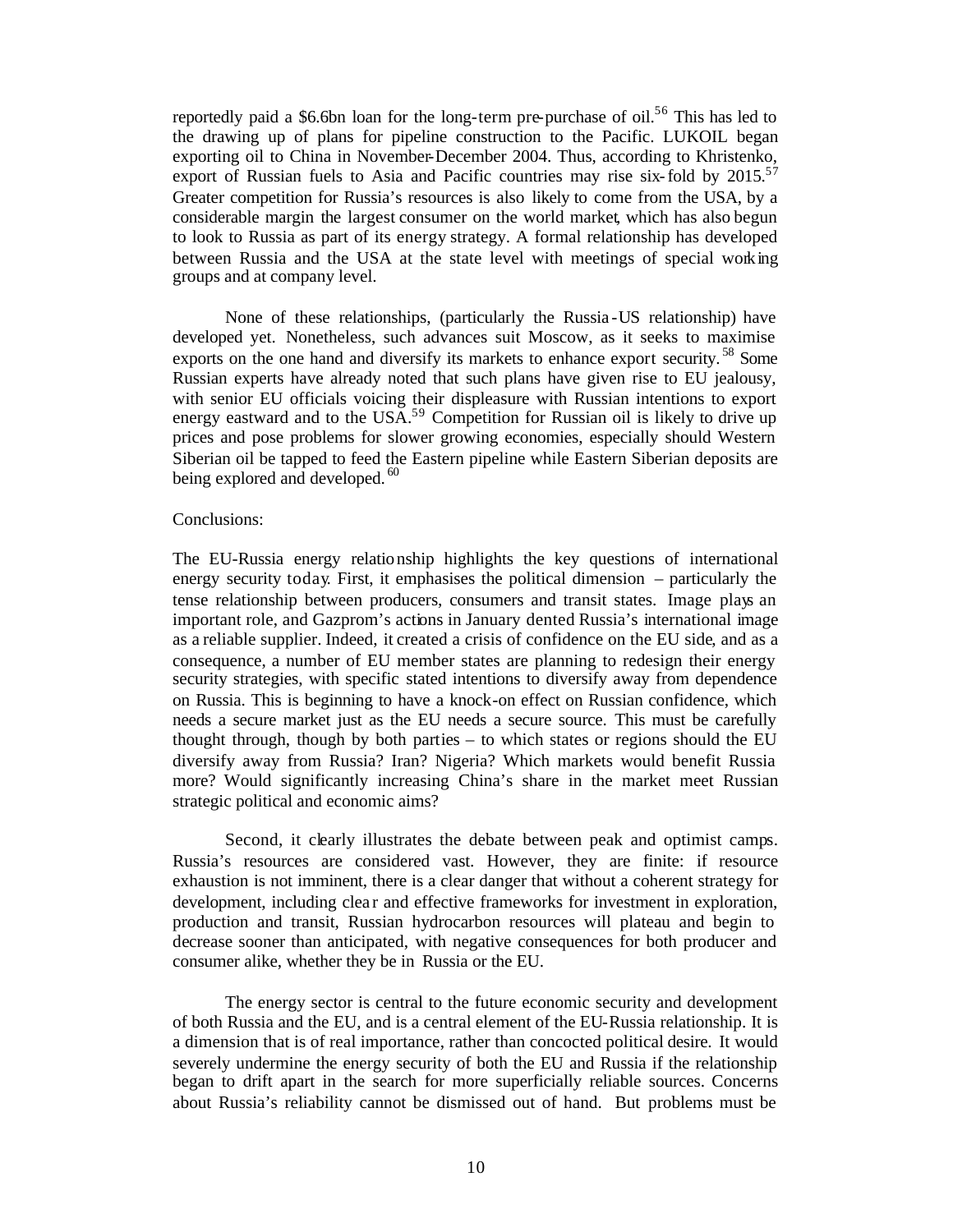reportedly paid a \$6.6bn loan for the long-term pre-purchase of oil.<sup>56</sup> This has led to the drawing up of plans for pipeline construction to the Pacific. LUKOIL began exporting oil to China in November-December 2004. Thus, according to Khristenko, export of Russian fuels to Asia and Pacific countries may rise six-fold by  $2015$ <sup>57</sup> Greater competition for Russia's resources is also likely to come from the USA, by a considerable margin the largest consumer on the world market, which has also begun to look to Russia as part of its energy strategy. A formal relationship has developed between Russia and the USA at the state level with meetings of special working groups and at company level.

None of these relationships, (particularly the Russia -US relationship) have developed yet. Nonetheless, such advances suit Moscow, as it seeks to maximise exports on the one hand and diversify its markets to enhance export security.<sup>58</sup> Some Russian experts have already noted that such plans have given rise to EU jealousy, with senior EU officials voicing their displeasure with Russian intentions to export energy eastward and to the USA.<sup>59</sup> Competition for Russian oil is likely to drive up prices and pose problems for slower growing economies, especially should Western Siberian oil be tapped to feed the Eastern pipeline while Eastern Siberian deposits are being explored and developed.<sup>60</sup>

#### Conclusions:

The EU-Russia energy relationship highlights the key questions of international energy security today. First, it emphasises the political dimension – particularly the tense relationship between producers, consumers and transit states. Image plays an important role, and Gazprom's actions in January dented Russia's international image as a reliable supplier. Indeed, it created a crisis of confidence on the EU side, and as a consequence, a number of EU member states are planning to redesign their energy security strategies, with specific stated intentions to diversify away from dependence on Russia. This is beginning to have a knock-on effect on Russian confidence, which needs a secure market just as the EU needs a secure source. This must be carefully thought through, though by both parties – to which states or regions should the EU diversify away from Russia? Iran? Nigeria? Which markets would benefit Russia more? Would significantly increasing China's share in the market meet Russian strategic political and economic aims?

Second, it clearly illustrates the debate between peak and optimist camps. Russia's resources are considered vast. However, they are finite: if resource exhaustion is not imminent, there is a clear danger that without a coherent strategy for development, including clear and effective frameworks for investment in exploration, production and transit, Russian hydrocarbon resources will plateau and begin to decrease sooner than anticipated, with negative consequences for both producer and consumer alike, whether they be in Russia or the EU.

The energy sector is central to the future economic security and development of both Russia and the EU, and is a central element of the EU-Russia relationship. It is a dimension that is of real importance, rather than concocted political desire. It would severely undermine the energy security of both the EU and Russia if the relationship began to drift apart in the search for more superficially reliable sources. Concerns about Russia's reliability cannot be dismissed out of hand. But problems must be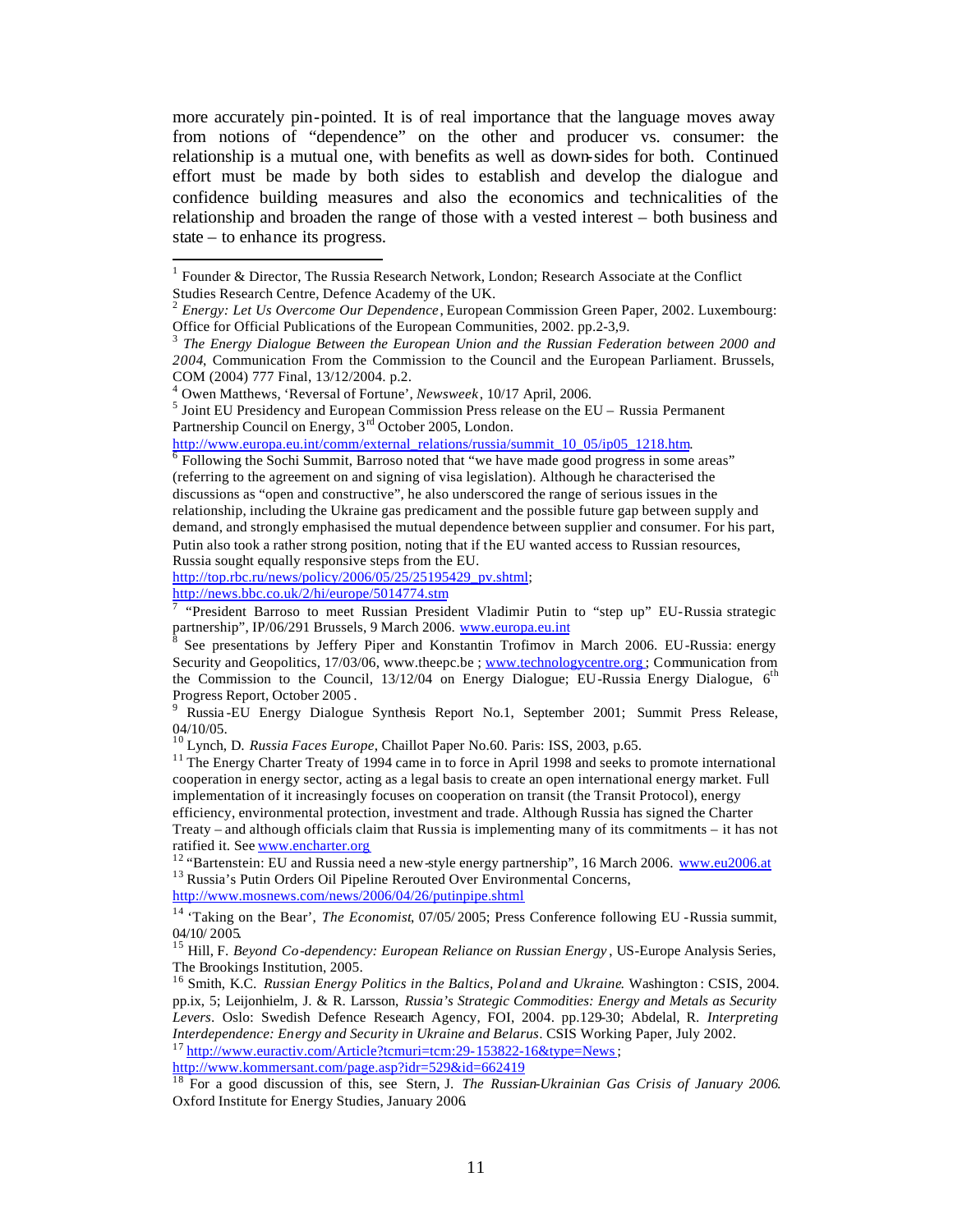more accurately pin-pointed. It is of real importance that the language moves away from notions of "dependence" on the other and producer vs. consumer: the relationship is a mutual one, with benefits as well as down-sides for both. Continued effort must be made by both sides to establish and develop the dialogue and confidence building measures and also the economics and technicalities of the relationship and broaden the range of those with a vested interest – both business and state – to enhance its progress.

http://www.europa.eu.int/comm/external\_relations/russia/summit\_10\_05/ip05\_1218.htm.<br><sup>6</sup> Following the Sochi Summit\_Berrese noted that "we have made aged pregress in some

http://top.rbc.ru/news/policy/2006/05/25/25195429\_pv.shtml;

http://news.bbc.co.uk/2/hi/europe/5014774.stm

l

http://www.kommersant.com/page.asp?idr=529&id=662419

<sup>1</sup> Founder & Director, The Russia Research Network, London; Research Associate at the Conflict Studies Research Centre, Defence Academy of the UK.

<sup>2</sup> *Energy: Let Us Overcome Our Dependence*, European Commission Green Paper, 2002. Luxembourg: Office for Official Publications of the European Communities, 2002. pp.2-3,9.

<sup>3</sup> *The Energy Dialogue Between the European Union and the Russian Federation between 2000 and 2004*, Communication From the Commission to the Council and the European Parliament. Brussels, COM (2004) 777 Final, 13/12/2004. p.2.

<sup>4</sup> Owen Matthews, 'Reversal of Fortune', *Newsweek*, 10/17 April, 2006.

 $<sup>5</sup>$  Joint EU Presidency and European Commission Press release on the EU – Russia Permanent</sup> Partnership Council on Energy, 3<sup>rd</sup> October 2005, London.

Following the Sochi Summit, Barroso noted that "we have made good progress in some areas" (referring to the agreement on and signing of visa legislation). Although he characterised the discussions as "open and constructive", he also underscored the range of serious issues in the relationship, including the Ukraine gas predicament and the possible future gap between supply and demand, and strongly emphasised the mutual dependence between supplier and consumer. For his part, Putin also took a rather strong position, noting that if the EU wanted access to Russian resources, Russia sought equally responsive steps from the EU.

<sup>&</sup>lt;sup>7</sup> "President Barroso to meet Russian President Vladimir Putin to "step up" EU-Russia strategic partnership", IP/06/291 Brussels, 9 March 2006. www.europa.eu.int

<sup>8</sup> See presentations by Jeffery Piper and Konstantin Trofimov in March 2006. EU-Russia: energy Security and Geopolitics, 17/03/06, www.theepc.be ; www.technologycentre.org ; Communication from the Commission to the Council, 13/12/04 on Energy Dialogue; EU-Russia Energy Dialogue, 6<sup>th</sup> Progress Report, October 2005 .

<sup>9</sup> Russia -EU Energy Dialogue Synthesis Report No.1, September 2001; Summit Press Release, 04/10/05.

<sup>10</sup> Lynch, D. *Russia Faces Europe*, Chaillot Paper No.60. Paris: ISS, 2003, p.65.

<sup>&</sup>lt;sup>11</sup> The Energy Charter Treaty of 1994 came in to force in April 1998 and seeks to promote international cooperation in energy sector, acting as a legal basis to create an open international energy market. Full implementation of it increasingly focuses on cooperation on transit (the Transit Protocol), energy efficiency, environmental protection, investment and trade. Although Russia has signed the Charter Treaty – and although officials claim that Russia is implementing many of its commitments – it has not ratified it. See www.encharter.org

<sup>&</sup>lt;sup>12</sup> "Bartenstein: EU and Russia need a new-style energy partnership", 16 March 2006. www.eu2006.at <sup>13</sup> Russia's Putin Orders Oil Pipeline Rerouted Over Environmental Concerns, http://www.mosnews.com/news/2006/04/26/putinpipe.shtml

<sup>14</sup> 'Taking on the Bear', *The Economist*, 07/05/ 2005; Press Conference following EU -Russia summit, 04/10/ 2005.

<sup>&</sup>lt;sup>15</sup> Hill, F. *Beyond Co-dependency: European Reliance on Russian Energy*, US-Europe Analysis Series, The Brookings Institution, 2005.

<sup>16</sup> Smith, K.C. *Russian Energy Politics in the Baltics, Poland and Ukraine*. Washington : CSIS, 2004. pp.ix, 5; Leijonhielm, J. & R. Larsson, *Russia's Strategic Commodities: Energy and Metals as Security Levers*. Oslo: Swedish Defence Research Agency, FOI, 2004. pp.129-30; Abdelal, R. *Interpreting Interdependence: Energy and Security in Ukraine and Belarus*. CSIS Working Paper, July 2002. <sup>17</sup> http://www.euractiv.com/Article?tcmuri=tcm:29-153822-16&type=News;

<sup>18</sup> For a good discussion of this, see Stern, J. *The Russian-Ukrainian Gas Crisis of January 2006*. Oxford Institute for Energy Studies, January 2006.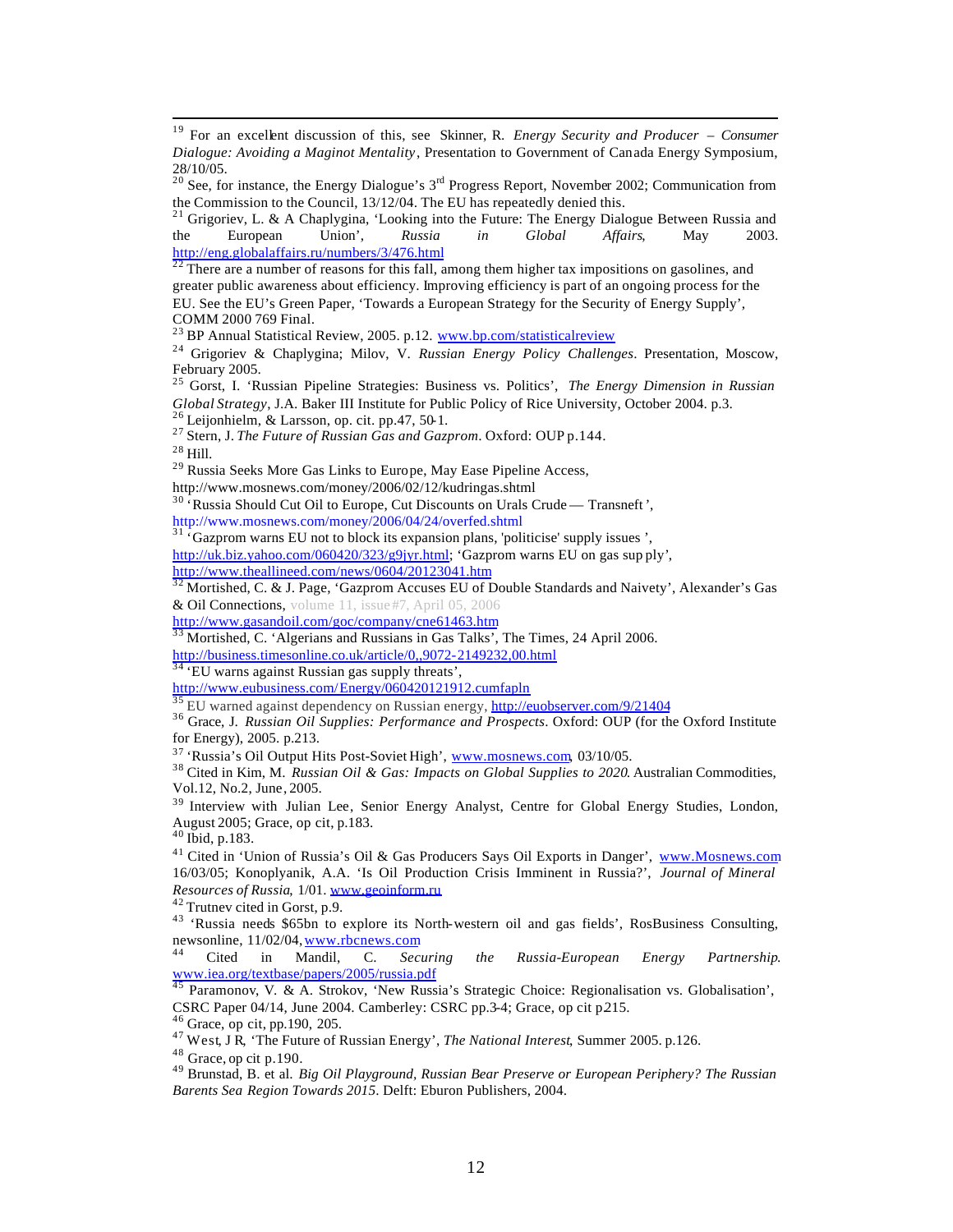$19\,$ <sup>19</sup> For an excellent discussion of this, see Skinner, R. *Energy Security and Producer – Consumer Dialogue: Avoiding a Maginot Mentality*, Presentation to Government of Canada Energy Symposium, 28/10/05.

<sup>21</sup> Grigoriev, L. & A Chaplygina, 'Looking into the Future: The Energy Dialogue Between Russia and the European Union', *Russia in Global Affairs*, May 2003. http://eng.globalaffairs.ru/numbers/3/476.html

 $22$  There are a number of reasons for this fall, among them higher tax impositions on gasolines, and greater public awareness about efficiency. Improving efficiency is part of an ongoing process for the EU. See the EU's Green Paper, 'Towards a European Strategy for the Security of Energy Supply', COMM 2000 769 Final.

<sup>23</sup> BP Annual Statistical Review, 2005. p.12. www.bp.com/statisticalreview

<sup>24</sup> Grigoriev & Chaplygina; Milov, V. *Russian Energy Policy Challenges*. Presentation, Moscow, February 2005.

<sup>25</sup> Gorst, I. 'Russian Pipeline Strategies: Business vs. Politics', *The Energy Dimension in Russian Global Strategy*, J.A. Baker III Institute for Public Policy of Rice University, October 2004. p.3. <sup>26</sup> Leijonhielm, & Larsson, op. cit. pp.47, 50-1.

<sup>27</sup> Stern, J. *The Future of Russian Gas and Gazprom*. Oxford: OUP p.144.

<sup>28</sup> Hill.

<sup>29</sup> Russia Seeks More Gas Links to Europe, May Ease Pipeline Access,

http://www.mosnews.com/money/2006/02/12/kudringas.shtml

<sup>30</sup> 'Russia Should Cut Oil to Europe, Cut Discounts on Urals Crude — Transneft', http://www.mosnews.com/money/2006/04/24/overfed.shtml

 $31 \cdot$ Gazprom warns EU not to block its expansion plans, 'politicise' supply issues ',

http://uk.biz.yahoo.com/060420/323/g9jyr.html; 'Gazprom warns EU on gas sup ply', http://www.theallineed.com/news/0604/20123041.htm

 $32$  Mortished, C. & J. Page, 'Gazprom Accuses EU of Double Standards and Naivety', Alexander's Gas & Oil Connections, volume 11, issue #7, April 05, 2006

http://www.gasandoil.com/goc/company/cne61463.htm

 $33$  Mortished, C. 'Algerians and Russians in Gas Talks', The Times, 24 April 2006.

http://business.timesonline.co.uk/article/0,,9072-2149232,00.html

 $34 \text{ }$ <sup>34</sup> EU warns against Russian gas supply threats',

http://www.eubusiness.com/Energy/060420121912.cumfapln

<sup>35</sup> EU warned against dependency on Russian energy, http://euobserver.com/9/21404

<sup>36</sup> Grace, J. *Russian Oil Supplies: Performance and Prospects*. Oxford: OUP (for the Oxford Institute for Energy), 2005. p.213.

<sup>37</sup> 'Russia's Oil Output Hits Post-Soviet High', www.mosnews.com, 03/10/05.

<sup>38</sup> Cited in Kim, M. *Russian Oil & Gas: Impacts on Global Supplies to 2020*. Australian Commodities, Vol.12, No.2, June, 2005.

<sup>39</sup> Interview with Julian Lee, Senior Energy Analyst, Centre for Global Energy Studies, London, August 2005; Grace, op cit, p.183.

<sup>40</sup> Ibid, p.183.

<sup>41</sup> Cited in 'Union of Russia's Oil & Gas Producers Says Oil Exports in Danger', www.Mosnews.com 16/03/05; Konoplyanik, A.A. 'Is Oil Production Crisis Imminent in Russia?', *Journal of Mineral Resources of Russia*, 1/01. www.geoinform.ru

<sup>42</sup> Trutnev cited in Gorst, p.9.

<sup>43</sup> 'Russia needs \$65bn to explore its North-western oil and gas fields', RosBusiness Consulting, newsonline, 11/02/04, www.rbcnews.com

<sup>44</sup> Cited in Mandil, C. *Securing the Russia-European Energy Partnership*. www.iea.org/textbase/papers/2005/russia.pdf

Paramonov, V. & A. Strokov, 'New Russia's Strategic Choice: Regionalisation vs. Globalisation', CSRC Paper 04/14, June 2004. Camberley: CSRC pp.3-4; Grace, op cit p.215.

<sup>46</sup> Grace, op cit, pp.190, 205.

<sup>47</sup> West, J R, 'The Future of Russian Energy', *The National Interest*, Summer 2005. p.126.

<sup>48</sup> Grace, op cit p.190.

<sup>49</sup> Brunstad, B. et al. *Big Oil Playground, Russian Bear Preserve or European Periphery? The Russian Barents Sea Region Towards 2015*. Delft: Eburon Publishers, 2004.

<sup>&</sup>lt;sup>20</sup> See, for instance, the Energy Dialogue's  $3<sup>rd</sup>$  Progress Report, November 2002; Communication from the Commission to the Council, 13/12/04. The EU has repeatedly denied this.